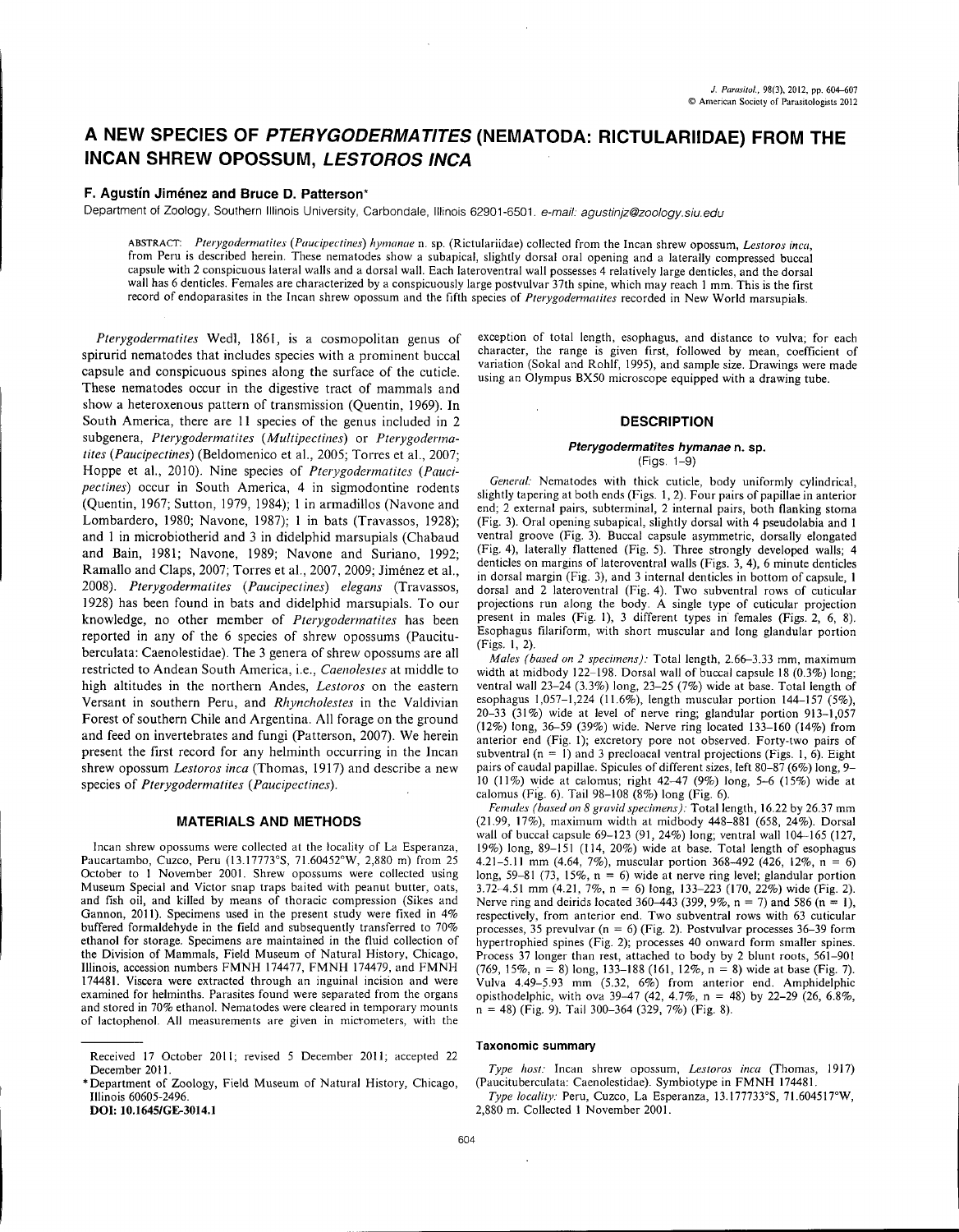# A NEW SPECIES OF *PTERYGODERMATITES* (NEMATODA: RICTULARIIDAE) FROM THE INCAN SHREW OPOSSUM, *LESTOROS INCA*

## F. Agustín Jiménez and Bruce D. Patterson\*

Department of Zoology, Southern Illinois University, Carbondale, Illinois 62901-6501. *e-mail: [agustinjz@zoology.siu.edu](mailto:agustinjz@zoology.siu.edu)*

ABSTRACT: *Plerygodermalites (Paucipectines) hymanae* n. sp. (Rictulariidae) collected from the [ncan shrew opossum, *Lestoros inca,* from Peru is described herein. These nematodes show a subapical, slightly dorsal oral opening and a laterally compressed buccal capsule with 2 conspicuous lateral walls and a dorsal wall. Each lateroventral wall possesses 4 relatively large denticles, and the dorsal wall has 6 denticles. Females are characterized by a conspicuously large postvulvar 37th spine, which may reach I mm. This is the first record of endoparasites in the [ncan shrew opossum and the fifth species of *Pterygodermarites* recorded in New World marsupials.

*Pterygodermatites* Wedl, 1861, is a cosmopolitan genus of spirurid nematodes that includes species with a prominent buccal capsule and conspicuous spines along the surface of the cuticle. These nematodes occur in the digestive tract of mammals and show a heteroxenous pattern of transmission (Quentin, 1969). In South America, there are II species of the genus included in 2 subgenera, *Pterygodermatites (Multipectines)* or *Pterygodermatites (Paucipectines)* (Beldomenico et aI., 2005; Torres et aI., 2007; Hoppe et aI., 2010). Nine species of *Pterygodermatites (Paucipectines)* occur in South America, 4 in sigmodontine rodents (Quentin, 1967; Sutton, 1979, 1984); 1 in armadillos (Navone and Lombardero, 1980; Navone, 1987); 1 in bats (Travassos, 1928); and I in microbiotherid and 3 in didelphid marsupials (Chabaud and Bain, 1981; Navone, 1989; Navone and Suriano, 1992; Ramallo and Claps, 2007; Torres et aI., 2007, 2009; Jimenez et aI., *2008). Pterygodermatites (Paucipectines) elegans* (Travassos, 1928) has been found in bats and didelphid marsupials. To our knowledge, no other member of *Pterygodermatites* has been reported in any of the 6 species of shrew opossums (Paucituberculata: Caenolestidae). The 3 genera of shrew opossums are all restricted to Andean South America, i.e., *Caenolestes* at middle to high altitudes in the northern Andes, *Lestoros* on the eastern Versant in southern Peru, and *Rhyncholestes* in the Valdivian Forest of southern Chile and Argentina. All forage on the ground and feed on invertebrates and fungi (Patterson, 2007). We herein present the first record for any helminth occurring in the Incan shrew opossum *Lestoros inca* (Thomas, 1917) and describe a new species of *Pterygodermatites (Paucipectines).*

#### MATERIALS AND METHODS

Incan shrew opossums were collected at the locality of La Esperanza, Paucartambo, Cuzco, Peru (l3.17773°S, 71.60452°W, 2,880 m) from 25 October to I November 2001. Shrew opossums were collected using Museum Special and Victor snap traps baited with peanut butter, oats, and fish oil, and killed by means of thoracic compression (Sikes and Gannon, 2011). Specimens used in the present study were fixed in 4% buffered formaldehyde in the field and subsequently transferred to 70% ethanol for storage. Specimens are maintained in the fluid collection of the Division of Mammals, Field Museum of Natural History, Chicago, Illinois, accession numbers FMNH 174477, FMNH 174479, and FMNH 174481. Viscera were extracted through an inguinal incision and were examined for helminths. Parasites found were separated from the organs and stored in 70% ethanol. Nematodes were cleared in temporary mounts of lactophenol. All measurements are given in micrometers, with the

DOl: lO.1645/GE-3014,1

exception of total length, esophagus, and distance to vulva; for each character, the range is given first, followed by mean, coefficient of variation (Sokal and Rohlf, 1995), and sample size. Drawings were made using an Olympus BX50 microscope equipped with a drawing tube.

### **DESCRIPTION**

#### *Pterygodermatites hymanae* n. sp. (Figs. 1-9)

*General:* Nematodes with thick cuticle, body uniformly cylindrical, slightly tapering at both ends (Figs. 1,2). Four pairs of papillae in anterior end; 2 external pairs, subterminal, 2 internal pairs, both flanking stoma (Fig. 3). Oral opening subapical, slightly dorsal with 4 pseudolabia and I ventral groove (Fig. 3). Buccal capsule asymmetric, dorsally elongated (Fig. 4), laterally flattened (Fig. 5). Three strongly developed walls; 4 denticles on margins of lateroventral walls (Figs. 3, 4), 6 minute denticles in dorsal margin (Fig. 3), and 3 internal denticles in bottom of capsule, I dorsal and 2 lateroventral (Fig. 4). Two subventral rows of cuticular projections run along the body. A single type of cuticular projection present in males (Fig. I), 3 different types in females (Figs. 2, 6, 8). Esophagus filariform, with short muscular and long glandular portion (Figs. I, 2).

*Males (based on* 2 *specimens):* Total length, 2.66--3.33 mm, maximum width at midbody 122-198. Dorsal wall of buccal capsule 18 (0.3%) long; ventral wall 23-24 (3.3%) long, 23-25 (7%) wide at base. Total length of esophagus 1,057-1,224 (11.6%), length muscular portion 144-157 (5%), 20-33 (31%) wide at level of nerve ring; glandular portion 913-1,057 (12%) long, 36-59 (39%) wide. Nerve ring located 133-160 (14%) from anterior end (Fig. I); excretory pore not observed. Forty-two pairs of subventral  $(n = 1)$  and 3 precloacal ventral projections (Figs. 1, 6). Eight pairs of caudal papillae. Spicules of different sizes, left 80-87 (6%) long, 9- 10 (11%) wide at calomus; right 42-47 (9%) long, 5~6 (15%) wide at calomus (Fig. 6). Tail 98-108 (8%) long (Fig. 6).

*Females (based on* 8 *gravid specimens):* Total length, 16.22 by 26.37 mm (21.99, 17%), maximum width at midbody 448-881 (658, 24%). Dorsal wall of buccal capsule 69~123 (91, 24%) long; ventral wall 104-165 (127, 19%) long, 89-151 (114,20%) wide at base. Total length of esophagus 4.21-5.11 mm (4.64, 7%), muscular portion 368-492 (426, 12%,  $n = 6$ ) long, 59-81 (73, 15%,  $n = 6$ ) wide at nerve ring level; glandular portion 3.72-4.51 mm (4.21, 7%, n = 6) long, 133-223 (170, 22%) wide (Fig. 2). Nerve ring and deirids located 360–443 (399, 9%,  $n = 7$ ) and 586 ( $n = 1$ ) respectively, from anterior end. Two subventral rows with 63 cuticular processes, 35 prevulvar ( $n = 6$ ) (Fig. 2). Postvulvar processes 36–39 form hypertrophied spines (Fig. 2); processes 40 onward form smaller spines. Process 37 longer than rest, attached to body by 2 blunt roots, 561-901  $(769, 15\%, n = 8)$  long, 133-188 (161, 12%, n = 8) wide at base (Fig. 7). Vulva 4.49-5.93 mm (5.32, 6%) from anterior end. Amphidelphic opisthodelphic, with ova 39-47 (42, 4.7%, n = 48) by 22-29 (26, 6.8%, n = 48) (Fig. 9). Tail 300-364 (329, 7%) (Fig. 8).

#### Taxonomic summary

*Type host:* [ncan shrew opossum, *Lestoros inca* (Thomas, 1917) (Paucituberculata: Caenolestidae). Symbiotype in FMNH 174481.

*Type locality:* Peru, Cuzco, La Esperanza, 13.177733°S, 71.60451rW, 2,880 m. Collected I November 2001.

Received 17 October 2011; revised 5 December 2011; accepted 22 December 2011.

<sup>\*</sup> Department of Zoology, Field Museum of Natural History, Chicago, Illinois 60605-2496.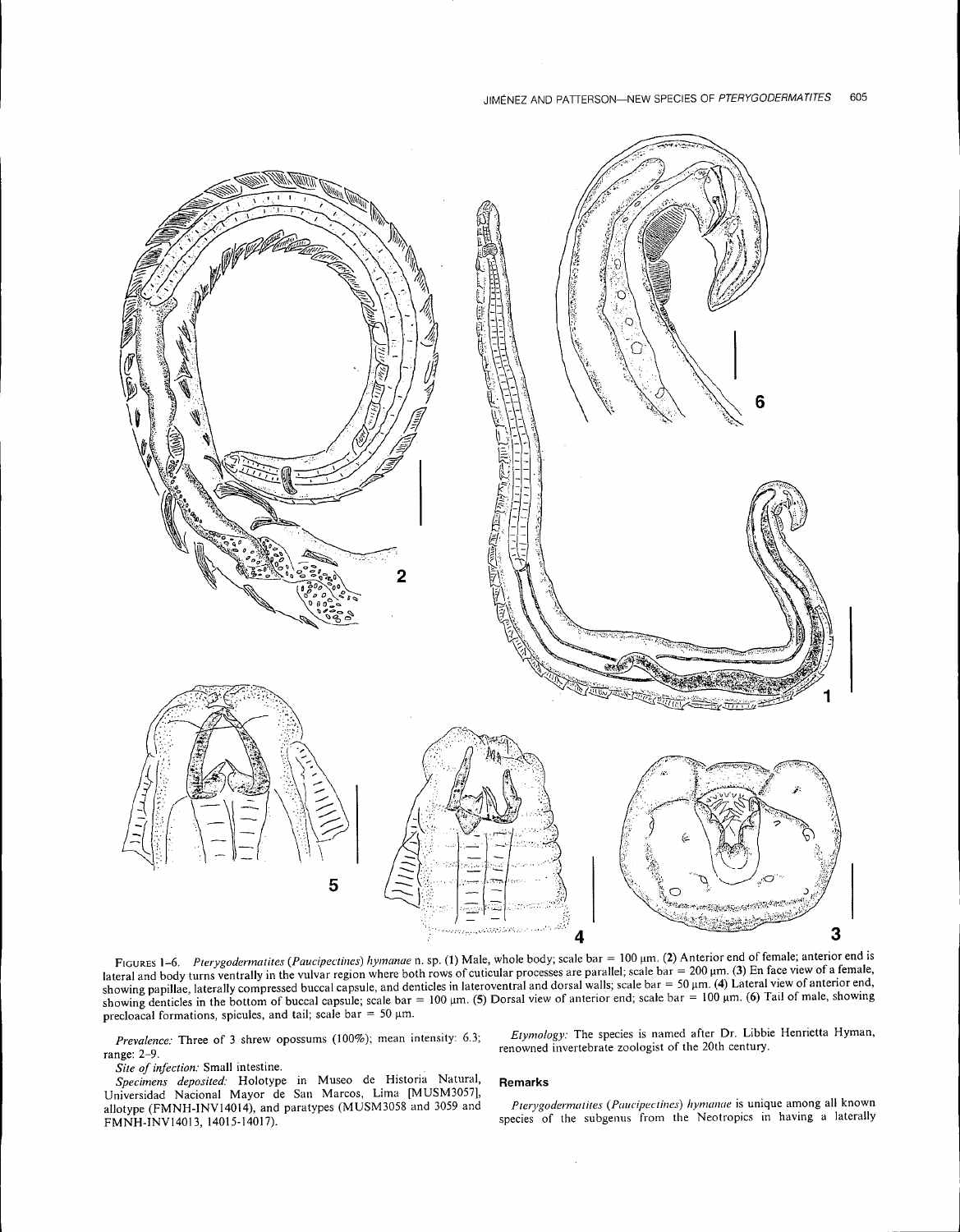

FIGURES 1-6. Pterygodermatites (Paucipectines) hymanae n. sp. (1) Male, whole body; scale bar = 100 μm. (2) Anterior end of female; anterior end is lateral and body turns ventrally in the vulvar region where both rows of cuticular processes are parallel; scale  $bar = 200 \mu m$ . (3) En face view of a female, showing papillae, laterally compressed buccal capsule, and denticles in lateroventral and dorsal walls; scale bar = 50  $\mu$ m. (4) Lateral view of anterior end, showing papmas, increase compressed outcan capsule; scale bar = 100  $\mu$ m. (5) Dorsal view of anterior end; scale bar = 100  $\mu$ m. (6) Tail of male, showing denticles in the bottom of buccal capsule; scale bar = 100  $\mu$ m precloacal formations, spicules, and tail; scale bar = 50  $\mu$ m.

*Prevalence:* Three of 3 shrew opossums (100%); mean intensity: 6.3; range: 2-9.

*Site of infection:* Small intestine.

*Specimens deposited:* Holotype in Museo de Historia Natural, Universidad Nacional Mayor de San Marcos, Lima [MUSM3057), allotype (FMNH-INVI4014), and paratypes (MUSM3058 and 3059 and FMNH-INVI4013,14015-14017).

*Etymology:* The species is named after Dr. Libbie Henrietta Hyman, renowned invertebrate zoologist of the 20th century.

#### **Remarks**

 $\bar{z}$ 

*Pterygodermatites* (Paucipectines) hymanae is unique among all known species of the subgenus from the Neotropics in having a laterally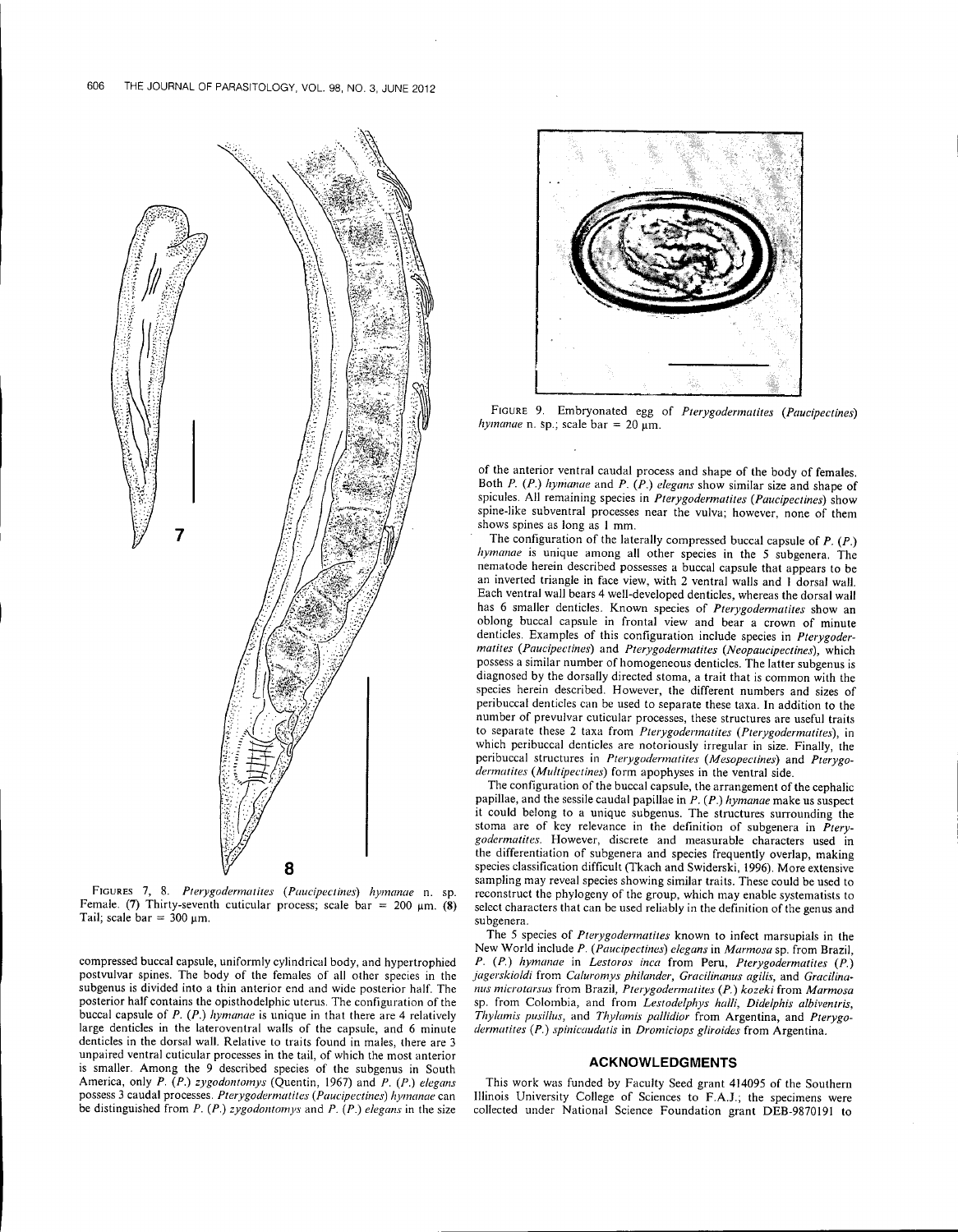

FIGURES 7, 8. *Pterygodermatites (Paucipectines) hymanae* n. sp. Female. (7) Thirty-seventh cuticular process; scale bar =  $200 \mu m$ . (8) Tail; scale  $bar = 300$   $µm$ .

compressed buccal capsule, uniformly cylindrical body, and hypertrophied postvulvar spines. The body of the females of all other species in the subgenus is divided into a thin anterior end and wide posterior half. The posterior half contains the opisthodelphic uterus. The configuration of the buccal capsule of *P. (P.) hymanae* is unique in that there are 4 relatively large denticles in the lateroventral walls of the capsule, and 6 minute denticles in the dorsal wall. Relative to traits found in males, there are 3 unpaired ventral cuticular processes in the tail, of which the most anterior is smaller. Among the 9 described species of the subgenus in South America, only *P. (P.) zygodontomys* (Quentin, 1967) and *P. (P.) elegans* possess 3 caudal processes. *Pterygodermatites (Paucipectines) hymanae* can be distinguished from *P. (P.) zygodontomys* and *P. (P.) elegans* in the size



FIGURE 9. Embryonated egg of *Pterygodermatites (Paucipectines)*  $h$ *ymanae* n. sp.; scale bar = 20  $\mu$ m.

of the anterior ventral caudal process and shape of the body of females. Both *P. (P.) hymanae* and *P. (P.) elegans* show similar size and shape of spicules. All remaining species in *Pterygodermatites (Paucipectines)* show spine-like subventral processes near the vulva; however, none of them shows spines as long as I mm.

The configuration of the laterally compressed buccal capsule of *P. (P.) hymanae* is unique among all other species in the 5 subgenera. The nematode herein described possesses a buccal capsule that appears to be an inverted triangle in face view, with 2 ventral walls and I dorsal wall. Each ventral wall bears 4 well-developed denticles, whereas the dorsal wall has 6 smaller denticles. Known species of *Pterygodennatites* show an oblong buccal capsule in frontal view and bear a crown of minute denticles. Examples of this configuration include species in *Pterygodermatites (Paucipectines)* and *Pterygodermatites (Neopaucipectines),* which possess a similar number of homogeneous denticles. The latter subgenus is diagnosed by the dorsally directed stoma, a trait that is common with the species herein described. However, the different numbers and sizes of peri buccal denticles can be used to separate these taxa. **In** addition to the number of prevulvar cuticular processes, these structures are useful traits to separate these 2 taxa from *Pterygodermatites (Pterygodermatites),* in which peribuccal denticles are notoriously irregular in size. Finally, the peribuccal structures in *Pterygodermatites (Mesopectines)* and *Pterygodermatites (Multipectines)* form apophyses in the ventral side.

The configuration of the buccal capsule, the arrangement of the cephalic papillae, and the sessile caudal papillae in *P. (P.) hymanae* make us suspect it could belong to a unique subgenus. The structures surrounding the stoma are of key relevance in the definition of subgenera in *Pterygodermatites.* However, discrete and measurable characters used in the differentiation of subgenera and species frequently overlap, making species classification difficult (Tkach and Swiderski, 1996). More extensive sampling may reveal species showing similar traits. These could be used to reconstruct the phylogeny of the group, which may enable systematists to select characters that can be used reliably in the definition of the genus and subgenera.

The 5 species of *Pterygodermatites* known to infect marsupials in the New World include *P. (Paucipectines) elegans* in *Marmosa* sp. from Brazil, *P. (P.) hymanae* in *Lestoros inca* from Peru, *Pterygodermatites (P.) jagerskioldi* from *Caluromys philander, Gracilinanus agilis,* and *Graci/inanus* microtarsus from Brazil, *Pterygodermatites* (P.) *kozeki* from *Marmosa* sp. from Colombia, and from *Lestodelphys halli, Didelphis albiventris,*  $Thylamis$  *pusillus*, and *Thylamis pallidior* from Argentina, and Pterygo*dermatites* (P.) *spinicaudatis* in *Dromiciops* gliroides from Argentina.

## **ACKNOWLEDGMENTS**

This work was funded by Faculty Seed grant 414095 of the Southern Illinois University College of Sciences to F.A.J.; the specimens were collected under National Science Foundation grant DEB-987019l to